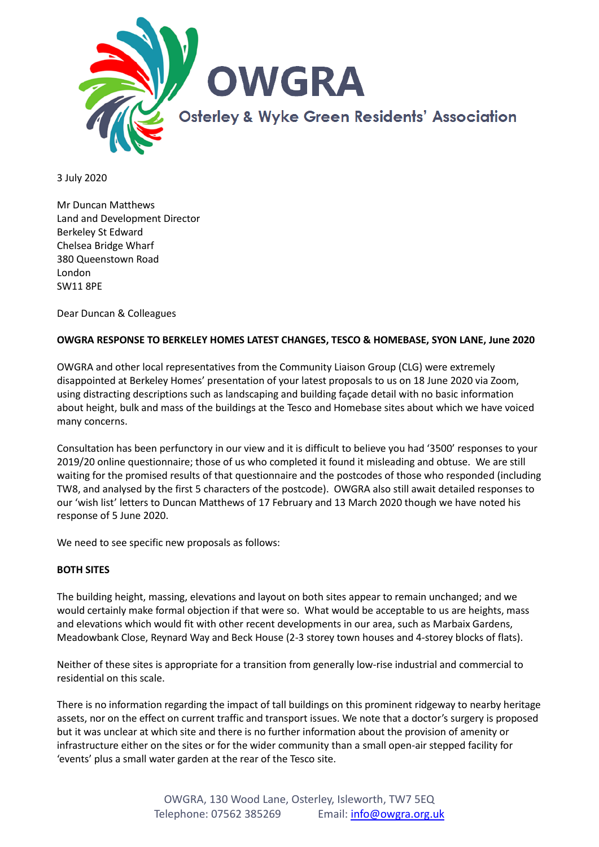

3 July 2020

Mr Duncan Matthews Land and Development Director Berkeley St Edward Chelsea Bridge Wharf 380 Queenstown Road London SW11 8PE

Dear Duncan & Colleagues

#### **OWGRA RESPONSE TO BERKELEY HOMES LATEST CHANGES, TESCO & HOMEBASE, SYON LANE, June 2020**

OWGRA and other local representatives from the Community Liaison Group (CLG) were extremely disappointed at Berkeley Homes' presentation of your latest proposals to us on 18 June 2020 via Zoom, using distracting descriptions such as landscaping and building façade detail with no basic information about height, bulk and mass of the buildings at the Tesco and Homebase sites about which we have voiced many concerns.

Consultation has been perfunctory in our view and it is difficult to believe you had '3500' responses to your 2019/20 online questionnaire; those of us who completed it found it misleading and obtuse. We are still waiting for the promised results of that questionnaire and the postcodes of those who responded (including TW8, and analysed by the first 5 characters of the postcode). OWGRA also still await detailed responses to our 'wish list' letters to Duncan Matthews of 17 February and 13 March 2020 though we have noted his response of 5 June 2020.

We need to see specific new proposals as follows:

#### **BOTH SITES**

The building height, massing, elevations and layout on both sites appear to remain unchanged; and we would certainly make formal objection if that were so. What would be acceptable to us are heights, mass and elevations which would fit with other recent developments in our area, such as Marbaix Gardens, Meadowbank Close, Reynard Way and Beck House (2-3 storey town houses and 4-storey blocks of flats).

Neither of these sites is appropriate for a transition from generally low-rise industrial and commercial to residential on this scale.

There is no information regarding the impact of tall buildings on this prominent ridgeway to nearby heritage assets, nor on the effect on current traffic and transport issues. We note that a doctor's surgery is proposed but it was unclear at which site and there is no further information about the provision of amenity or infrastructure either on the sites or for the wider community than a small open-air stepped facility for 'events' plus a small water garden at the rear of the Tesco site.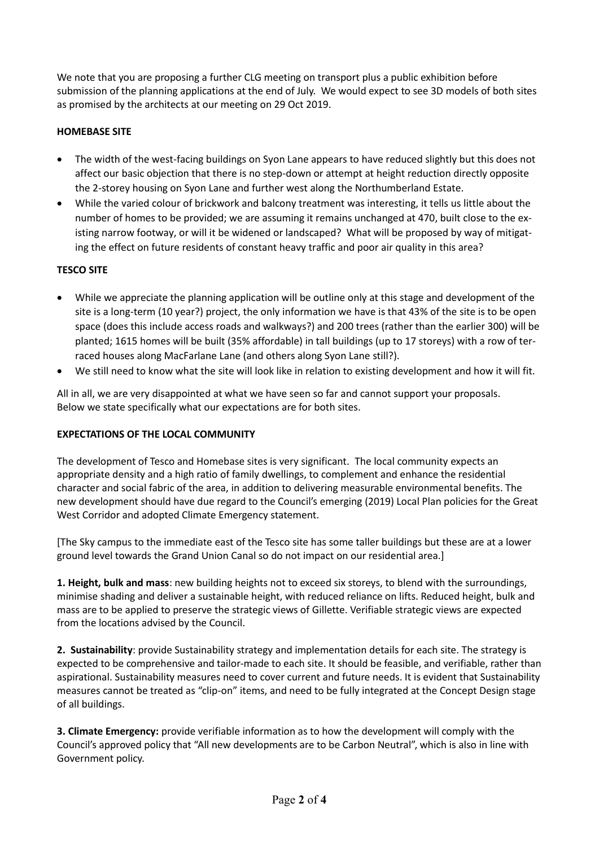We note that you are proposing a further CLG meeting on transport plus a public exhibition before submission of the planning applications at the end of July. We would expect to see 3D models of both sites as promised by the architects at our meeting on 29 Oct 2019.

# **HOMEBASE SITE**

- The width of the west-facing buildings on Syon Lane appears to have reduced slightly but this does not affect our basic objection that there is no step-down or attempt at height reduction directly opposite the 2-storey housing on Syon Lane and further west along the Northumberland Estate.
- While the varied colour of brickwork and balcony treatment was interesting, it tells us little about the number of homes to be provided; we are assuming it remains unchanged at 470, built close to the existing narrow footway, or will it be widened or landscaped? What will be proposed by way of mitigating the effect on future residents of constant heavy traffic and poor air quality in this area?

## **TESCO SITE**

- While we appreciate the planning application will be outline only at this stage and development of the site is a long-term (10 year?) project, the only information we have is that 43% of the site is to be open space (does this include access roads and walkways?) and 200 trees (rather than the earlier 300) will be planted; 1615 homes will be built (35% affordable) in tall buildings (up to 17 storeys) with a row of terraced houses along MacFarlane Lane (and others along Syon Lane still?).
- We still need to know what the site will look like in relation to existing development and how it will fit.

All in all, we are very disappointed at what we have seen so far and cannot support your proposals. Below we state specifically what our expectations are for both sites.

### **EXPECTATIONS OF THE LOCAL COMMUNITY**

The development of Tesco and Homebase sites is very significant. The local community expects an appropriate density and a high ratio of family dwellings, to complement and enhance the residential character and social fabric of the area, in addition to delivering measurable environmental benefits. The new development should have due regard to the Council's emerging (2019) Local Plan policies for the Great West Corridor and adopted Climate Emergency statement.

[The Sky campus to the immediate east of the Tesco site has some taller buildings but these are at a lower ground level towards the Grand Union Canal so do not impact on our residential area.]

**1. Height, bulk and mass**: new building heights not to exceed six storeys, to blend with the surroundings, minimise shading and deliver a sustainable height, with reduced reliance on lifts. Reduced height, bulk and mass are to be applied to preserve the strategic views of Gillette. Verifiable strategic views are expected from the locations advised by the Council.

**2. Sustainability**: provide Sustainability strategy and implementation details for each site. The strategy is expected to be comprehensive and tailor-made to each site. It should be feasible, and verifiable, rather than aspirational. Sustainability measures need to cover current and future needs. It is evident that Sustainability measures cannot be treated as "clip-on" items, and need to be fully integrated at the Concept Design stage of all buildings.

**3. Climate Emergency:** provide verifiable information as to how the development will comply with the Council's approved policy that "All new developments are to be Carbon Neutral", which is also in line with Government policy.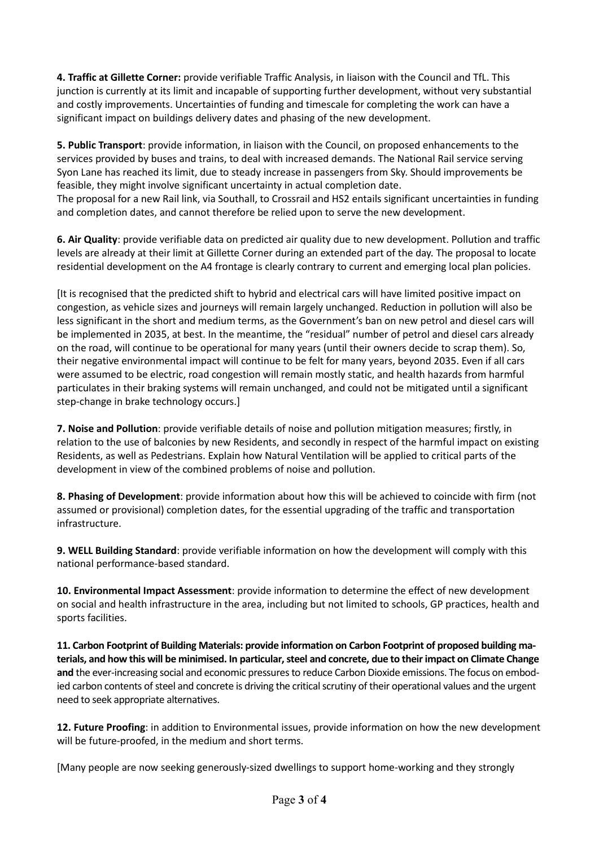**4. Traffic at Gillette Corner:** provide verifiable Traffic Analysis, in liaison with the Council and TfL. This junction is currently at its limit and incapable of supporting further development, without very substantial and costly improvements. Uncertainties of funding and timescale for completing the work can have a significant impact on buildings delivery dates and phasing of the new development.

**5. Public Transport**: provide information, in liaison with the Council, on proposed enhancements to the services provided by buses and trains, to deal with increased demands. The National Rail service serving Syon Lane has reached its limit, due to steady increase in passengers from Sky. Should improvements be feasible, they might involve significant uncertainty in actual completion date.

The proposal for a new Rail link, via Southall, to Crossrail and HS2 entails significant uncertainties in funding and completion dates, and cannot therefore be relied upon to serve the new development.

**6. Air Quality**: provide verifiable data on predicted air quality due to new development. Pollution and traffic levels are already at their limit at Gillette Corner during an extended part of the day. The proposal to locate residential development on the A4 frontage is clearly contrary to current and emerging local plan policies.

[It is recognised that the predicted shift to hybrid and electrical cars will have limited positive impact on congestion, as vehicle sizes and journeys will remain largely unchanged. Reduction in pollution will also be less significant in the short and medium terms, as the Government's ban on new petrol and diesel cars will be implemented in 2035, at best. In the meantime, the "residual" number of petrol and diesel cars already on the road, will continue to be operational for many years (until their owners decide to scrap them). So, their negative environmental impact will continue to be felt for many years, beyond 2035. Even if all cars were assumed to be electric, road congestion will remain mostly static, and health hazards from harmful particulates in their braking systems will remain unchanged, and could not be mitigated until a significant step-change in brake technology occurs.]

**7. Noise and Pollution**: provide verifiable details of noise and pollution mitigation measures; firstly, in relation to the use of balconies by new Residents, and secondly in respect of the harmful impact on existing Residents, as well as Pedestrians. Explain how Natural Ventilation will be applied to critical parts of the development in view of the combined problems of noise and pollution.

**8. Phasing of Development**: provide information about how this will be achieved to coincide with firm (not assumed or provisional) completion dates, for the essential upgrading of the traffic and transportation infrastructure.

**9. WELL Building Standard**: provide verifiable information on how the development will comply with this national performance-based standard.

**10. Environmental Impact Assessment**: provide information to determine the effect of new development on social and health infrastructure in the area, including but not limited to schools, GP practices, health and sports facilities.

**11. Carbon Footprint of Building Materials: provide information on Carbon Footprint of proposed building materials, and how this will be minimised. In particular, steel and concrete, due to their impact on Climate Change and** the ever-increasing social and economic pressures to reduce Carbon Dioxide emissions. The focus on embodied carbon contents of steel and concrete is driving the critical scrutiny of their operational values and the urgent need to seek appropriate alternatives.

**12. Future Proofing**: in addition to Environmental issues, provide information on how the new development will be future-proofed, in the medium and short terms.

[Many people are now seeking generously-sized dwellings to support home-working and they strongly